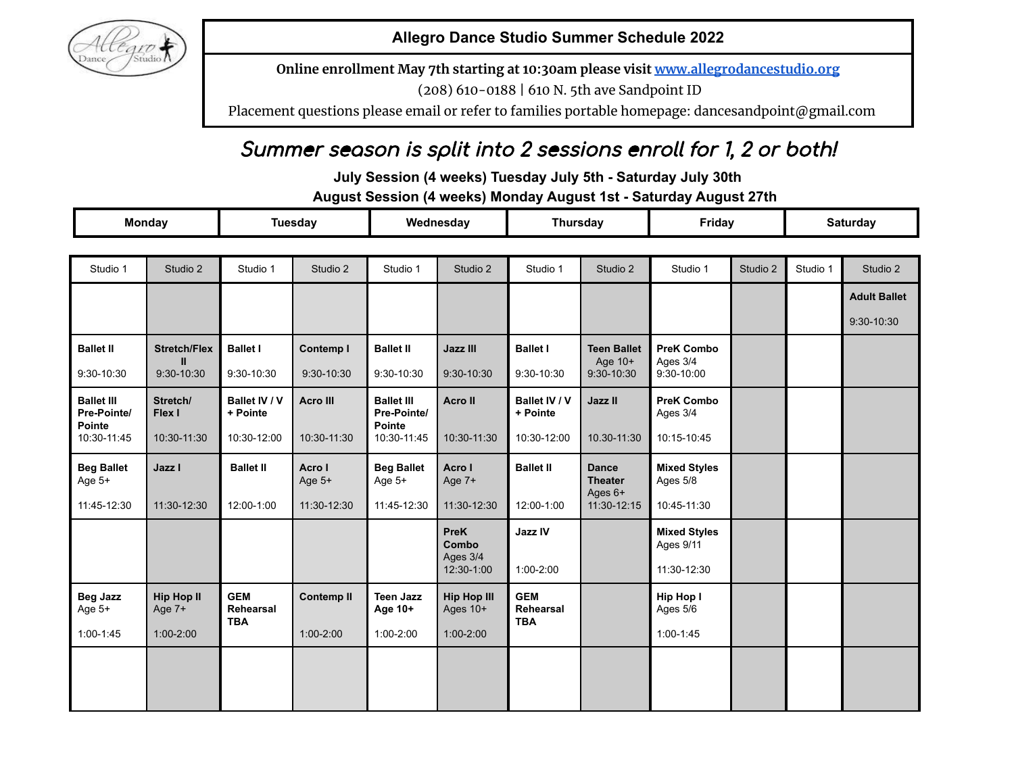

**Allegro Dance Studio Summer Schedule 2022**

**Online enrollment May 7th starting at 10:30am please visit [www.allegrodancestudio.org](http://www.allegrodancestudio.org/)**

(208) 610-0188 | 610 N. 5th ave Sandpoint ID

Placement questions please email or refer to families portable homepage: dancesandpoint@gmail.com

# Summer season is split into 2 sessions enroll for 1, 2 or both!

**July Session (4 weeks) Tuesday July 5th - Saturday July 30th**

**August Session (4 weeks) Monday August 1st - Saturday August 27th**

| <b>Monday</b>                                     |                             | <b>Tuesday</b>                        |                   | Wednesday                                  |                                | <b>Thursday</b>                       |                                           | Friday                           |          | <b>Saturday</b> |                     |
|---------------------------------------------------|-----------------------------|---------------------------------------|-------------------|--------------------------------------------|--------------------------------|---------------------------------------|-------------------------------------------|----------------------------------|----------|-----------------|---------------------|
|                                                   |                             |                                       |                   |                                            |                                |                                       |                                           |                                  |          |                 |                     |
| Studio 1                                          | Studio 2                    | Studio 1                              | Studio 2          | Studio 1                                   | Studio 2                       | Studio 1                              | Studio 2                                  | Studio 1                         | Studio 2 | Studio 1        | Studio 2            |
|                                                   |                             |                                       |                   |                                            |                                |                                       |                                           |                                  |          |                 | <b>Adult Ballet</b> |
|                                                   |                             |                                       |                   |                                            |                                |                                       |                                           |                                  |          |                 | 9:30-10:30          |
| <b>Ballet II</b>                                  | <b>Stretch/Flex</b>         | <b>Ballet I</b>                       | Contemp I         | <b>Ballet II</b>                           | <b>Jazz III</b>                | <b>Ballet I</b>                       | <b>Teen Ballet</b>                        | <b>PreK Combo</b>                |          |                 |                     |
| 9:30-10:30                                        | Ш<br>9:30-10:30             | $9:30-10:30$                          | $9:30-10:30$      | 9:30-10:30                                 | 9:30-10:30                     | $9:30-10:30$                          | Age 10+<br>$9:30-10:30$                   | Ages 3/4<br>$9:30 - 10:00$       |          |                 |                     |
| <b>Ballet III</b><br>Pre-Pointe/<br><b>Pointe</b> | Stretch/<br>Flex I          | Ballet IV / V<br>+ Pointe             | Acro III          | <b>Ballet III</b><br>Pre-Pointe/<br>Pointe | <b>Acro II</b>                 | Ballet IV / V<br>+ Pointe             | Jazz II                                   | <b>PreK Combo</b><br>Ages 3/4    |          |                 |                     |
| 10:30-11:45                                       | 10:30-11:30                 | 10:30-12:00                           | 10:30-11:30       | 10:30-11:45                                | 10:30-11:30                    | 10:30-12:00                           | 10.30-11:30                               | 10:15-10:45                      |          |                 |                     |
| <b>Beg Ballet</b><br>Age $5+$                     | Jazz I                      | <b>Ballet II</b>                      | Acro I<br>Age 5+  | <b>Beg Ballet</b><br>Age 5+                | Acro I<br>Age 7+               | <b>Ballet II</b>                      | <b>Dance</b><br><b>Theater</b><br>Ages 6+ | <b>Mixed Styles</b><br>Ages 5/8  |          |                 |                     |
| 11:45-12:30                                       | 11:30-12:30                 | 12:00-1:00                            | 11:30-12:30       | 11:45-12:30                                | 11:30-12:30                    | 12:00-1:00                            | 11:30-12:15                               | 10:45-11:30                      |          |                 |                     |
|                                                   |                             |                                       |                   |                                            | <b>PreK</b><br>Combo           | Jazz IV                               |                                           | <b>Mixed Styles</b><br>Ages 9/11 |          |                 |                     |
|                                                   |                             |                                       |                   |                                            | Ages 3/4<br>12:30-1:00         | $1:00-2:00$                           |                                           | 11:30-12:30                      |          |                 |                     |
| <b>Beg Jazz</b><br>Age 5+                         | <b>Hip Hop II</b><br>Age 7+ | <b>GEM</b><br>Rehearsal<br><b>TBA</b> | <b>Contemp II</b> | <b>Teen Jazz</b><br>Age 10+                | <b>Hip Hop III</b><br>Ages 10+ | <b>GEM</b><br>Rehearsal<br><b>TBA</b> |                                           | Hip Hop I<br>Ages 5/6            |          |                 |                     |
| $1:00-1:45$                                       | $1:00-2:00$                 |                                       | $1:00-2:00$       | $1:00-2:00$                                | $1:00 - 2:00$                  |                                       |                                           | $1:00-1:45$                      |          |                 |                     |
|                                                   |                             |                                       |                   |                                            |                                |                                       |                                           |                                  |          |                 |                     |
|                                                   |                             |                                       |                   |                                            |                                |                                       |                                           |                                  |          |                 |                     |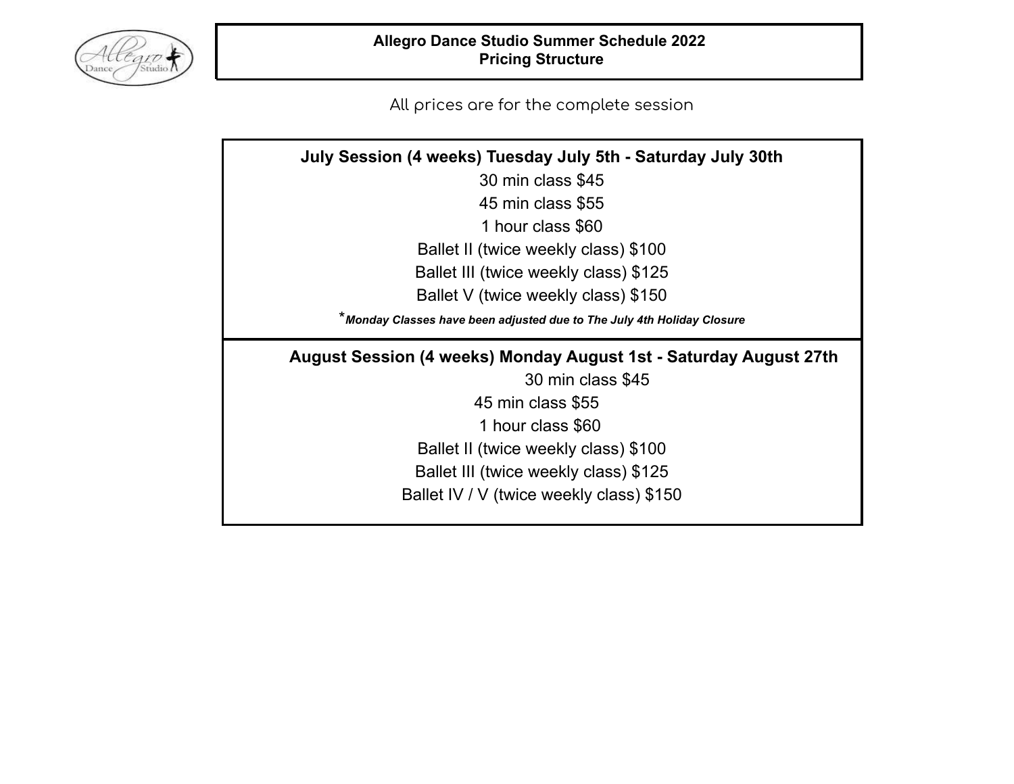

# **Allegro Dance Studio Summer Schedule 2022 Pricing Structure**

All prices are for the complete session

| July Session (4 weeks) Tuesday July 5th - Saturday July 30th           |
|------------------------------------------------------------------------|
| 30 min class \$45                                                      |
| 45 min class \$55                                                      |
| 1 hour class \$60                                                      |
| Ballet II (twice weekly class) \$100                                   |
| Ballet III (twice weekly class) \$125                                  |
| Ballet V (twice weekly class) \$150                                    |
| *Monday Classes have been adjusted due to The July 4th Holiday Closure |
|                                                                        |
| August Session (4 weeks) Monday August 1st - Saturday August 27th      |
| 30 min class \$45                                                      |
| 45 min class \$55                                                      |
| 1 hour class \$60                                                      |
| Ballet II (twice weekly class) \$100                                   |
| Ballet III (twice weekly class) \$125                                  |
| Ballet IV / V (twice weekly class) \$150                               |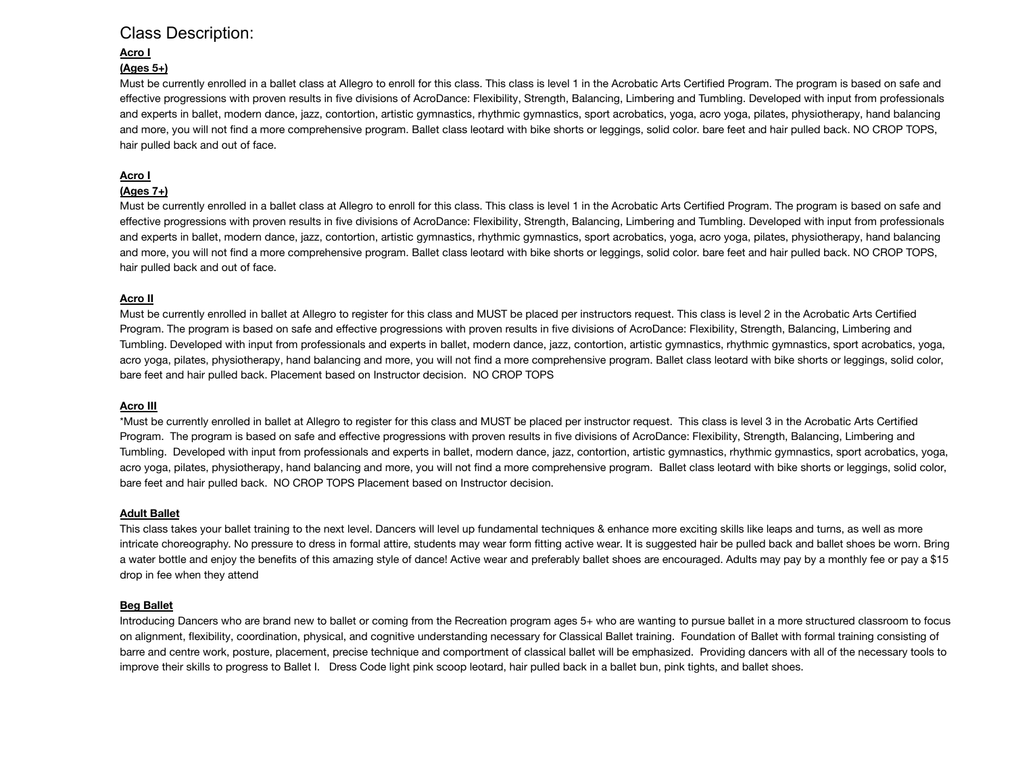# Class Description:

# **Acro I**

# **(Ages 5+)**

Must be currently enrolled in a ballet class at Allegro to enroll for this class. This class is level 1 in the Acrobatic Arts Certified Program. The program is based on safe and effective progressions with proven results in five divisions of AcroDance: Flexibility, Strength, Balancing, Limbering and Tumbling. Developed with input from professionals and experts in ballet, modern dance, jazz, contortion, artistic gymnastics, rhythmic gymnastics, sport acrobatics, yoga, acro yoga, pilates, physiotherapy, hand balancing and more, you will not find a more comprehensive program. Ballet class leotard with bike shorts or leggings, solid color. bare feet and hair pulled back. NO CROP TOPS, hair pulled back and out of face.

# **Acro I**

# **(Ages 7+)**

Must be currently enrolled in a ballet class at Allegro to enroll for this class. This class is level 1 in the Acrobatic Arts Certified Program. The program is based on safe and effective progressions with proven results in five divisions of AcroDance: Flexibility, Strength, Balancing, Limbering and Tumbling. Developed with input from professionals and experts in ballet, modern dance, jazz, contortion, artistic gymnastics, rhythmic gymnastics, sport acrobatics, yoga, acro yoga, pilates, physiotherapy, hand balancing and more, you will not find a more comprehensive program. Ballet class leotard with bike shorts or leggings, solid color. bare feet and hair pulled back. NO CROP TOPS, hair pulled back and out of face.

# **Acro II**

Must be currently enrolled in ballet at Allegro to register for this class and MUST be placed per instructors request. This class is level 2 in the Acrobatic Arts Certified Program. The program is based on safe and effective progressions with proven results in five divisions of AcroDance: Flexibility, Strength, Balancing, Limbering and Tumbling. Developed with input from professionals and experts in ballet, modern dance, jazz, contortion, artistic gymnastics, rhythmic gymnastics, sport acrobatics, yoga, acro yoga, pilates, physiotherapy, hand balancing and more, you will not find a more comprehensive program. Ballet class leotard with bike shorts or leggings, solid color, bare feet and hair pulled back. Placement based on Instructor decision. NO CROP TOPS

# **Acro III**

\*Must be currently enrolled in ballet at Allegro to register for this class and MUST be placed per instructor request. This class is level 3 in the Acrobatic Arts Certified Program. The program is based on safe and effective progressions with proven results in five divisions of AcroDance: Flexibility, Strength, Balancing, Limbering and Tumbling. Developed with input from professionals and experts in ballet, modern dance, jazz, contortion, artistic gymnastics, rhythmic gymnastics, sport acrobatics, yoga, acro yoga, pilates, physiotherapy, hand balancing and more, you will not find a more comprehensive program. Ballet class leotard with bike shorts or leggings, solid color, bare feet and hair pulled back. NO CROP TOPS Placement based on Instructor decision.

# **Adult Ballet**

This class takes your ballet training to the next level. Dancers will level up fundamental techniques & enhance more exciting skills like leaps and turns, as well as more intricate choreography. No pressure to dress in formal attire, students may wear form fitting active wear. It is suggested hair be pulled back and ballet shoes be worn. Bring a water bottle and enjoy the benefits of this amazing style of dance! Active wear and preferably ballet shoes are encouraged. Adults may pay by a monthly fee or pay a \$15 drop in fee when they attend

# **Beg Ballet**

Introducing Dancers who are brand new to ballet or coming from the Recreation program ages 5+ who are wanting to pursue ballet in a more structured classroom to focus on alignment, flexibility, coordination, physical, and cognitive understanding necessary for Classical Ballet training. Foundation of Ballet with formal training consisting of barre and centre work, posture, placement, precise technique and comportment of classical ballet will be emphasized. Providing dancers with all of the necessary tools to improve their skills to progress to Ballet I. Dress Code light pink scoop leotard, hair pulled back in a ballet bun, pink tights, and ballet shoes.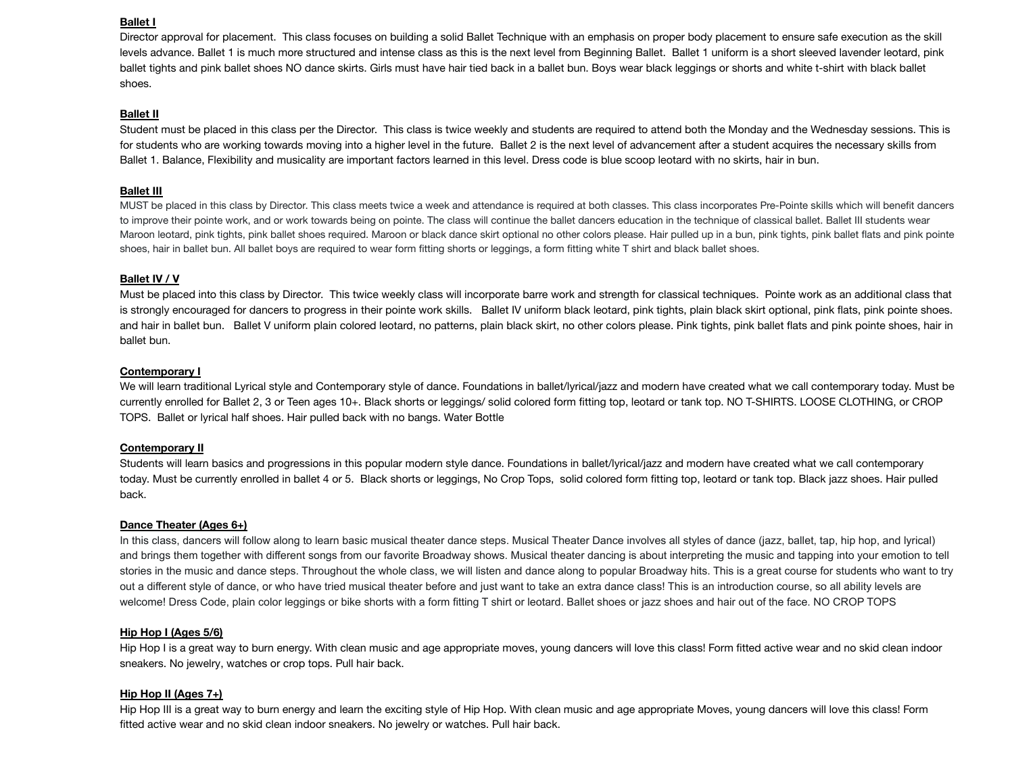#### **Ballet I**

Director approval for placement. This class focuses on building a solid Ballet Technique with an emphasis on proper body placement to ensure safe execution as the skill levels advance. Ballet 1 is much more structured and intense class as this is the next level from Beginning Ballet. Ballet 1 uniform is a short sleeved lavender leotard, pink ballet tights and pink ballet shoes NO dance skirts. Girls must have hair tied back in a ballet bun. Boys wear black leggings or shorts and white t-shirt with black ballet shoes.

#### **Ballet II**

Student must be placed in this class per the Director. This class is twice weekly and students are required to attend both the Monday and the Wednesday sessions. This is for students who are working towards moving into a higher level in the future. Ballet 2 is the next level of advancement after a student acquires the necessary skills from Ballet 1. Balance, Flexibility and musicality are important factors learned in this level. Dress code is blue scoop leotard with no skirts, hair in bun.

#### **Ballet III**

MUST be placed in this class by Director. This class meets twice a week and attendance is required at both classes. This class incorporates Pre-Pointe skills which will benefit dancers to improve their pointe work, and or work towards being on pointe. The class will continue the ballet dancers education in the technique of classical ballet. Ballet III students wear Maroon leotard, pink tights, pink ballet shoes required. Maroon or black dance skirt optional no other colors please. Hair pulled up in a bun, pink tights, pink ballet flats and pink pointe shoes, hair in ballet bun. All ballet boys are required to wear form fitting shorts or leggings, a form fitting white T shirt and black ballet shoes.

#### **Ballet IV / V**

Must be placed into this class by Director. This twice weekly class will incorporate barre work and strength for classical techniques. Pointe work as an additional class that is strongly encouraged for dancers to progress in their pointe work skills. Ballet IV uniform black leotard, pink tights, plain black skirt optional, pink flats, pink pointe shoes. and hair in ballet bun. Ballet V uniform plain colored leotard, no patterns, plain black skirt, no other colors please. Pink tights, pink ballet flats and pink pointe shoes, hair in ballet bun.

#### **Contemporary I**

We will learn traditional Lyrical style and Contemporary style of dance. Foundations in ballet/lyrical/jazz and modern have created what we call contemporary today. Must be currently enrolled for Ballet 2, 3 or Teen ages 10+. Black shorts or leggings/ solid colored form fitting top, leotard or tank top. NO T-SHIRTS. LOOSE CLOTHING, or CROP TOPS. Ballet or lyrical half shoes. Hair pulled back with no bangs. Water Bottle

#### **Contemporary II**

Students will learn basics and progressions in this popular modern style dance. Foundations in ballet/lyrical/jazz and modern have created what we call contemporary today. Must be currently enrolled in ballet 4 or 5. Black shorts or leggings, No Crop Tops, solid colored form fitting top, leotard or tank top. Black jazz shoes. Hair pulled back.

#### **Dance Theater (Ages 6+)**

In this class, dancers will follow along to learn basic musical theater dance steps. Musical Theater Dance involves all styles of dance (jazz, ballet, tap, hip hop, and lyrical) and brings them together with different songs from our favorite Broadway shows. Musical theater dancing is about interpreting the music and tapping into your emotion to tell stories in the music and dance steps. Throughout the whole class, we will listen and dance along to popular Broadway hits. This is a great course for students who want to try out a different style of dance, or who have tried musical theater before and just want to take an extra dance class! This is an introduction course, so all ability levels are welcome! Dress Code, plain color leggings or bike shorts with a form fitting T shirt or leotard. Ballet shoes or jazz shoes and hair out of the face. NO CROP TOPS

#### **Hip Hop I (Ages 5/6)**

Hip Hop I is a great way to burn energy. With clean music and age appropriate moves, young dancers will love this class! Form fitted active wear and no skid clean indoor sneakers. No jewelry, watches or crop tops. Pull hair back.

#### **Hip Hop II (Ages 7+)**

Hip Hop III is a great way to burn energy and learn the exciting style of Hip Hop. With clean music and age appropriate Moves, young dancers will love this class! Form fitted active wear and no skid clean indoor sneakers. No jewelry or watches. Pull hair back.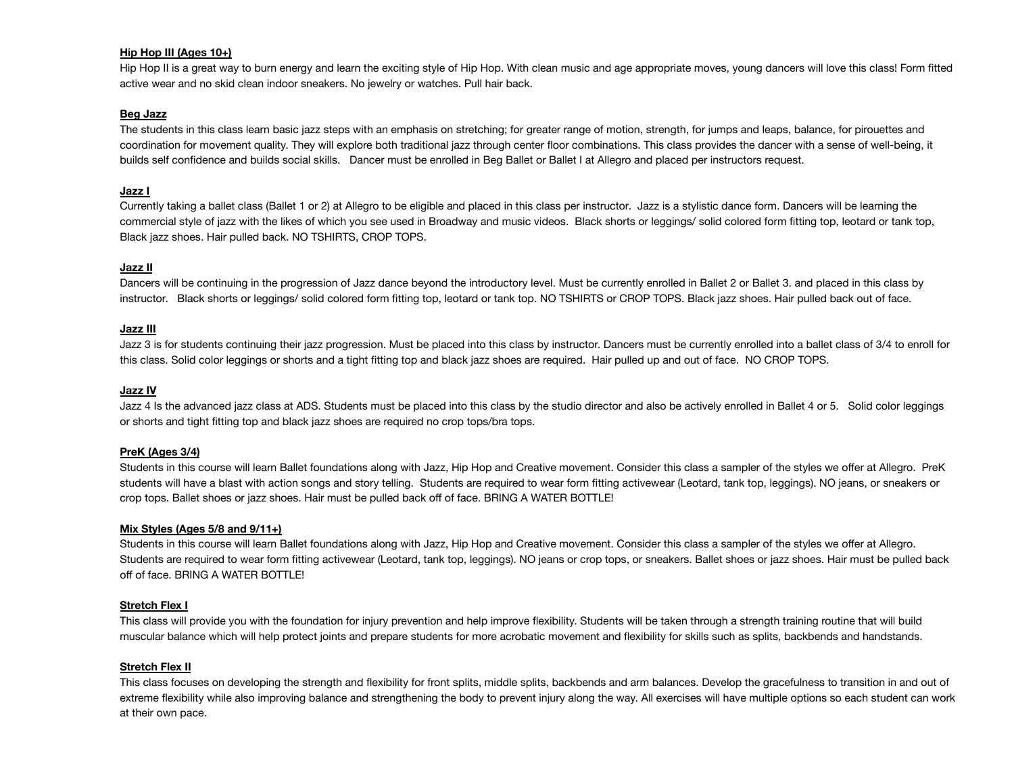# **Hip Hop III (Ages 10+)**

Hip Hop II is a great way to burn energy and learn the exciting style of Hip Hop. With clean music and age appropriate moves, young dancers will love this class! Form fitted active wear and no skid clean indoor sneakers. No jewelry or watches. Pull hair back.

# **Beg Jazz**

The students in this class learn basic jazz steps with an emphasis on stretching; for greater range of motion, strength, for jumps and leaps, balance, for pirouettes and coordination for movement quality. They will explore both traditional jazz through center floor combinations. This class provides the dancer with a sense of well-being, it builds self confidence and builds social skills. Dancer must be enrolled in Beg Ballet or Ballet I at Allegro and placed per instructors request.

## **Jazz I**

Currently taking a ballet class (Ballet 1 or 2) at Allegro to be eligible and placed in this class per instructor. Jazz is a stylistic dance form. Dancers will be learning the commercial style of jazz with the likes of which you see used in Broadway and music videos. Black shorts or leggings/ solid colored form fitting top, leotard or tank top, Black jazz shoes. Hair pulled back. NO TSHIRTS, CROP TOPS.

# **Jazz II**

Dancers will be continuing in the progression of Jazz dance beyond the introductory level. Must be currently enrolled in Ballet 2 or Ballet 3. and placed in this class by instructor. Black shorts or leggings/ solid colored form fitting top, leotard or tank top. NO TSHIRTS or CROP TOPS. Black jazz shoes. Hair pulled back out of face.

## **Jazz III**

Jazz 3 is for students continuing their jazz progression. Must be placed into this class by instructor. Dancers must be currently enrolled into a ballet class of 3/4 to enroll for this class. Solid color leggings or shorts and a tight fitting top and black jazz shoes are required. Hair pulled up and out of face. NO CROP TOPS.

# **Jazz IV**

Jazz 4 Is the advanced jazz class at ADS. Students must be placed into this class by the studio director and also be actively enrolled in Ballet 4 or 5. Solid color leggings or shorts and tight fitting top and black jazz shoes are required no crop tops/bra tops.

#### **PreK (Ages 3/4)**

Students in this course will learn Ballet foundations along with Jazz, Hip Hop and Creative movement. Consider this class a sampler of the styles we offer at Allegro. PreK students will have a blast with action songs and story telling. Students are required to wear form fitting activewear (Leotard, tank top, leggings). NO jeans, or sneakers or crop tops. Ballet shoes or jazz shoes. Hair must be pulled back off of face. BRING A WATER BOTTLE!

#### **Mix Styles (Ages 5/8 and 9/11+)**

Students in this course will learn Ballet foundations along with Jazz, Hip Hop and Creative movement. Consider this class a sampler of the styles we offer at Allegro. Students are required to wear form fitting activewear (Leotard, tank top, leggings). NO jeans or crop tops, or sneakers. Ballet shoes or jazz shoes. Hair must be pulled back off of face. BRING A WATER BOTTLE!

#### **Stretch Flex I**

This class will provide you with the foundation for injury prevention and help improve flexibility. Students will be taken through a strength training routine that will build muscular balance which will help protect joints and prepare students for more acrobatic movement and flexibility for skills such as splits, backbends and handstands.

#### **Stretch Flex II**

This class focuses on developing the strength and flexibility for front splits, middle splits, backbends and arm balances. Develop the gracefulness to transition in and out of extreme flexibility while also improving balance and strengthening the body to prevent injury along the way. All exercises will have multiple options so each student can work at their own pace.